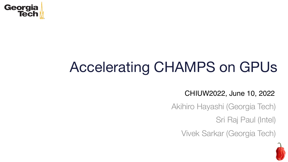

### Accelerating CHAMPS on GPUs

#### CHIUW2022, June 10, 2022

Akihiro Hayashi (Georgia Tech)

Sri Raj Paul (Intel)

Vivek Sarkar (Georgia Tech)

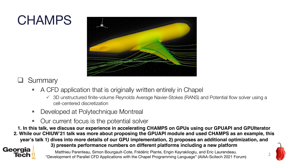### **CHAMPS**



#### Summary

Georgia **Tech** 

- § A CFD application that is originally written entirely in Chapel
	- $\checkmark$  3D unstructured finite-volume Reynolds Average Navier-Stokes (RANS) and Potential flow solver using a cell-centered discretization
- Developed at Polytechnique Montreal
- Our current focus is the potential solver
- **1. In this talk, we discuss our experience in accelerating CHAMPS on GPUs using our GPUAPI and GPUIterator**
- **2. While our CHIUW'21 talk was more about proposing the GPUAPI module and used CHAMPS as an example, this year's talk 1) dives into more details of our GPU implementation, 2) proposes an additional optimization, and**

**3) presents performance numbers on different platforms including a new platform** 

2 Matthieu Parenteau, Simon Bourgault-Cote, Frédéric Plante, Engin Kayraklioglu, and Eric Laurendeau. "Development of Parallel CFD Applications with the Chapel Programming Language" (AIAA-Scitech 2021 Forum)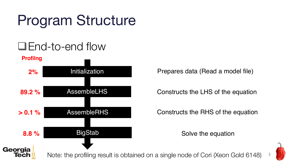## Program Structure

#### $\Box$ End-to-end flow

**Profilng**



Prepares data (Read a model file)

Constructs the LHS of the equation

Constructs the RHS of the equation

Solve the equation



Note: the profiling result is obtained on a single node of Cori (Xeon Gold 6148)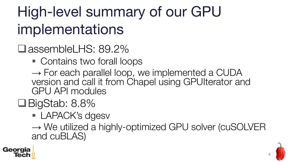## High-level summary of our GPU implementations

- **□**assembleLHS: 89.2%
	- Contains two forall loops
	- $\rightarrow$  For each parallel loop, we implemented a CUDA version and call it from Chapel using GPUIterator and GPU API modules
- $\Box$ BigStab: 8.8%
	- LAPACK's dgesv

→ We utilized a highly-optimized GPU solver (cuSOLVER and cuBLAS)



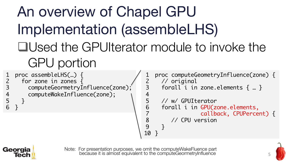# An overview of Chapel GPU Implementation (assembleLHS) **QUsed the GPUIterator module to invoke the** GPU portion

proc assembleLHS(…) { for zone in zones { computeGeormetryInfluence(zone); computeWakeInfluence(zone); } } 1 2 3

```
proc computeGeometryInfluence(zone) {
     // original
     forall i in zone.elements \{ \dots \}// w/ GPUIterator
     forall i in GPU(zone.elements,
                  callback, CPUPercent) {
        // CPU version
     }
   }
1
2
3
4
5
6
7
8
9
10
```


4 5 6

> Note: For presentation purposes, we omit the computeWakeFluence part because it is almost equivalent to the computeGeormetryInfluence

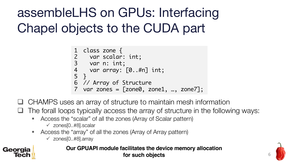assembleLHS on GPUs: Interfacing Chapel objects to the CUDA part

```
class zone {
  var scalar: int;
  var n: int;
   var array: [0..#n] int;
  }
// Array of Structure
6
7 var zones = [zone0, zone1, ..., zone7];1
2
3
4
5
```
q CHAMPS uses an array of structure to maintain mesh information

The forall loops typically access the array of structure in the following ways:

- § Access the "scalar" of all the zones (Array of Scalar pattern)
	- $\checkmark$  zones[0..#8].scalar
- Access the "array" of all the zones (Array of Array pattern)
	- $\checkmark$  zones[0..#8].array



**Our GPUAPI module facilitates the device memory allocation for such objects**

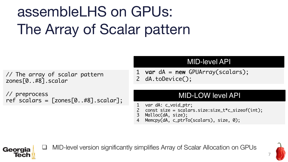# assembleLHS on GPUs: The Array of Scalar pattern

// The array of scalar pattern zones[0..#8].scalar

// preprocess ref scalars =  $[zones[0..#8].scalar];$ 

#### MID-level API

var dA = new GPUArray(scalars); dA.toDevice(); 1 2

#### MID-LOW level API

- var dA: c\_void\_ptr; 1
- const size = scalars.size:size\_t\*c\_sizeof(int); 2
- Malloc(dA, size); 3
- Memcpy(dA, c\_ptrTo(scalars), size, 0); 4



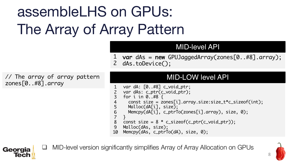## assembleLHS on GPUs: The Array of Array Pattern

#### MID-level API

var dAs = new GPUJaggedArray(zones[0..#8].array); 1 dAs.toDevice(); 2

// The array of array pattern zones[0..#8].array

Georgia **Tech** 

#### MID-LOW level API

```
var dA: [0..#8] c_void_ptr;
   var dAs: c_ptr(c_void_ptr);
   for i in 0..#8 {
     const size = zones[i].array.size:size_t*c_sizeof(int);
     Malloc(dA[i], size);
      Memcpy(dA[i], c_ptrTo(zones[i].array), size, 0);
    }
    const size = 8 * c_sizeof(c_ptr(c_void_ptr));
   Malloc(dAs, size);
   Memcpy(dAs, c_ptrTo(dA), size, 0);
1
2
3
4
5
6
7
8
9
10
```
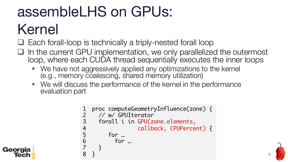# assembleLHS on GPUs: Kernel

- $\Box$  Each forall-loop is technically a triply-nested forall loop
- $\Box$  In the current GPU implementation, we only parallelized the outermost loop, where each CUDA thread sequentially executes the inner loops
	- We have not aggressively applied any optimizations to the kernel (e.g., memory coalescing, shared memory utilization)
	- § We will discuss the performance of the kernel in the performance evaluation part

```
proc computeGeometryInfluence(zone) {
    // w/ GPUIterator
     forall i in GPU(zone.elements,
                  callback, CPUPercent) {
        for …
          for …
     }
   }
1
2
3
4
5
6
7
8
```
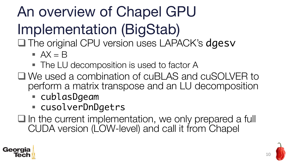An overview of Chapel GPU Implementation (BigStab)

□ The original CPU version uses LAPACK's dgesv

- $\overline{A}X = B$
- The LU decomposition is used to factor A
- $\Box$  We used a combination of cuBLAS and cuSOLVER to perform a matrix transpose and an LU decomposition
	- cublasDgeam
	- cusolverDnDgetrs
- $\square$  In the current implementation, we only prepared a full CUDA version (LOW-level) and call it from Chapel



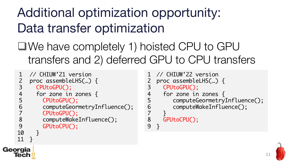### Additional optimization opportunity: Data transfer optimization

 $\Box$  We have completely 1) hoisted CPU to GPU transfers and 2) deferred GPU to CPU transfers

```
// CHIUW'21 version
    proc assembleLHS(…) {
      CPUtoGPU(); 
      for zone in zones {
        CPUtoGPU();
        computeGeormetryInfluence();
        CPUtoGPU();
        computeWakeInfluence();
        GPUtoCPU();
      }
    }
1
2
3
4
5
6
7
8
9
10
11
```
Georgia

```
// CHIUW'22 version
  proc assembleLHS(…) {
     CPUtoGPU();
     for zone in zones {
        computeGeormetryInfluence();
        computeWakeInfluence(); 
     }
     GPUtoCPU();
   }
1
2
3
4
5
6
7
8
9
```
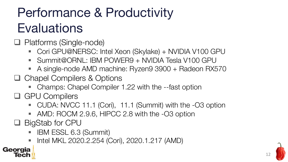### Performance & Productivity **Evaluations**

 $\Box$  Platforms (Single-node)

- Cori GPU@NERSC: Intel Xeon (Skylake) + NVIDIA V100 GPU
- § Summit@ORNL: IBM POWER9 + NVIDIA Tesla V100 GPU
- A single-node AMD machine: Ryzen9 3900 + Radeon RX570
- $\Box$  Chapel Compilers & Options
	- Champs: Chapel Compiler 1.22 with the --fast option
- **Q** GPU Compilers
	- CUDA: NVCC 11.1 (Cori), 11.1 (Summit) with the -O3 option
	- AMD: ROCM 2.9.6, HIPCC 2.8 with the -O3 option
- $\Box$  BigStab for CPU

Georgia

- IBM ESSL 6.3 (Summit)
- Intel MKL 2020.2.254 (Cori), 2020.1.217 (AMD)

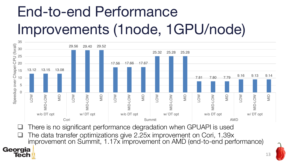# End-to-end Performance Improvements (1node, 1GPU/node)



There is no significant performance degradation when GPUAPI is used

Georgia **Tecl** 

 $\Box$  The data transfer optimizations give 2.25x improvement on Cori, 1.39x improvement on Summit, 1.17x improvement on AMD (end-to-end performance)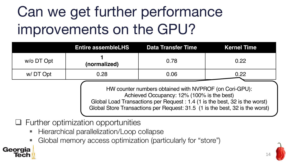## Can we get further performance improvements on the GPU?

|            | <b>Entire assembleLHS</b> | <b>Data Transfer Time</b> | <b>Kernel Time</b> |
|------------|---------------------------|---------------------------|--------------------|
| w/o DT Opt | (normalized)              | 0.78                      | 0.22               |
| w/DT Opt   | 0.28                      | 0.06                      | 0.22               |
|            |                           |                           |                    |

HW counter numbers obtained with NVPROF (on Cori-GPU): Achieved Occupancy: 12% (100% is the best) Global Load Transactions per Request : 1.4 (1 is the best, 32 is the worst)

Global Store Transactions per Request: 31.5 (1 is the best, 32 is the worst)

#### $\Box$  Further optimization opportunities

Georgia

- § Hierarchical parallelization/Loop collapse
- § Global memory access optimization (particularly for "store")

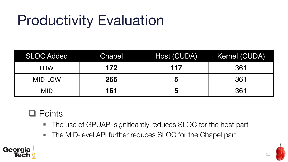## Productivity Evaluation

| <b>SLOC Added</b> | Chapel | Host (CUDA) | Kernel (CUDA) |
|-------------------|--------|-------------|---------------|
| LOW               | 172    | 117         | 361           |
| MID-LOW           | 265    | ხ           | 361           |
| <b>MID</b>        | 161    | ხ           | 361           |

#### $\Box$  Points

- The use of GPUAPI significantly reduces SLOC for the host part
- The MID-level API further reduces SLOC for the Chapel part



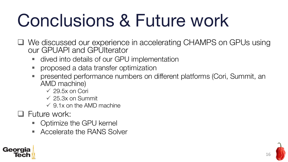# Conclusions & Future work

- **□ We discussed our experience in accelerating CHAMPS on GPUs using** our GPUAPI and GPUIterator
	- § dived into details of our GPU implementation
	- § proposed a data transfer optimization
	- § presented performance numbers on different platforms (Cori, Summit, an AMD machine)
		- $\checkmark$  29.5x on Cori
		- $\sqrt{25.3x}$  on Summit
		- $\checkmark$  9.1x on the AMD machine
- $\Box$  Future work:
	- Optimize the GPU kernel
	- § Accelerate the RANS Solver



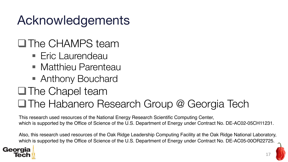### Acknowledgements

### $\Box$ The CHAMPS team

- Eric Laurendeau
- Matthieu Parenteau
- Anthony Bouchard
- $\Box$ The Chapel team

#### **□The Habanero Research Group @ Georgia Tech**

This research used resources of the National Energy Research Scientific Computing Center, which is supported by the Office of Science of the U.S. Department of Energy under Contract No. DE-AC02-05CH11231.

Also, this research used resources of the Oak Ridge Leadership Computing Facility at the Oak Ridge National Laboratory, which is supported by the Office of Science of the U.S. Department of Energy under Contract No. DE-AC05-00OR22725.